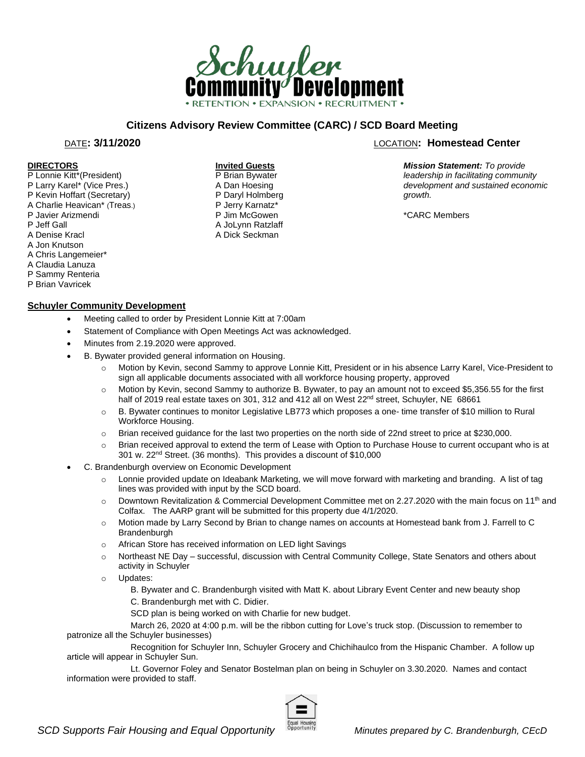

# **Citizens Advisory Review Committee (CARC) / SCD Board Meeting**

**Invited Guests** P Brian Bywater A Dan Hoesing P Daryl Holmberg P Jerry Karnatz\* P Jim McGowen A JoLynn Ratzlaff A Dick Seckman

#### **DIRECTORS**

- P Lonnie Kitt\*(President)
- P Larry Karel\* (Vice Pres.)
- P Kevin Hoffart (Secretary) A Charlie Heavican\* (Treas.)
- P Javier Arizmendi
- P Jeff Gall
- 
- A Denise Kracl A Jon Knutson
- A Chris Langemeier\*
- 
- A Claudia Lanuza
- P Sammy Renteria
- P Brian Vavricek

### **Schuyler Community Development**

- Meeting called to order by President Lonnie Kitt at 7:00am
- Statement of Compliance with Open Meetings Act was acknowledged.
- Minutes from 2.19.2020 were approved.
- B. Bywater provided general information on Housing.
	- o Motion by Kevin, second Sammy to approve Lonnie Kitt, President or in his absence Larry Karel, Vice-President to sign all applicable documents associated with all workforce housing property, approved
	- o Motion by Kevin, second Sammy to authorize B. Bywater, to pay an amount not to exceed \$5,356.55 for the first half of 2019 real estate taxes on 301, 312 and 412 all on West 22<sup>nd</sup> street, Schuyler, NE 68661
	- o B. Bywater continues to monitor Legislative LB773 which proposes a one- time transfer of \$10 million to Rural Workforce Housing.
	- o Brian received guidance for the last two properties on the north side of 22nd street to price at \$230,000.
	- $\circ$  Brian received approval to extend the term of Lease with Option to Purchase House to current occupant who is at 301 w. 22nd Street. (36 months). This provides a discount of \$10,000
- C. Brandenburgh overview on Economic Development
	- o Lonnie provided update on Ideabank Marketing, we will move forward with marketing and branding. A list of tag lines was provided with input by the SCD board.
	- $\circ$  Downtown Revitalization & Commercial Development Committee met on 2.27.2020 with the main focus on 11<sup>th</sup> and Colfax. The AARP grant will be submitted for this property due 4/1/2020.
	- o Motion made by Larry Second by Brian to change names on accounts at Homestead bank from J. Farrell to C Brandenburgh
	- o African Store has received information on LED light Savings
	- o Northeast NE Day successful, discussion with Central Community College, State Senators and others about activity in Schuyler
	- o Updates:

B. Bywater and C. Brandenburgh visited with Matt K. about Library Event Center and new beauty shop C. Brandenburgh met with C. Didier.

SCD plan is being worked on with Charlie for new budget.

March 26, 2020 at 4:00 p.m. will be the ribbon cutting for Love's truck stop. (Discussion to remember to patronize all the Schuyler businesses)

Recognition for Schuyler Inn, Schuyler Grocery and Chichihaulco from the Hispanic Chamber. A follow up article will appear in Schuyler Sun.

Lt. Governor Foley and Senator Bostelman plan on being in Schuyler on 3.30.2020. Names and contact information were provided to staff.



# DATE**: 3/11/2020** LOCATION**: Homestead Center**

*Mission Statement: To provide leadership in facilitating community development and sustained economic growth.* 

\*CARC Members